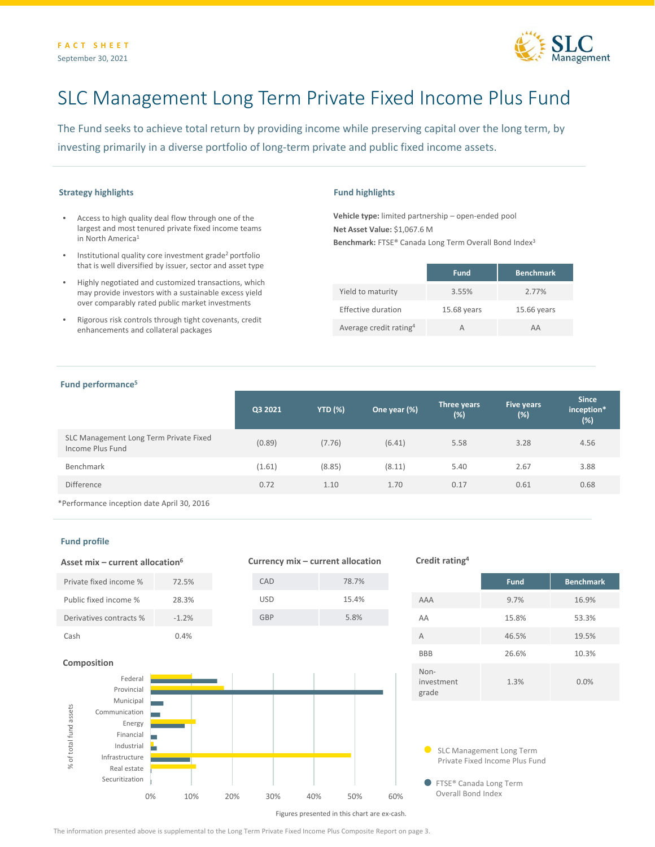

# SLC Management Long Term Private Fixed Income Plus Fund

The Fund seeks to achieve total return by providing income while preserving capital over the long term, by investing primarily in a diverse portfolio of long-term private and public fixed income assets.

## **Strategy highlights**

- Access to high quality deal flow through one of the largest and most tenured private fixed income teams in North America<sup>1</sup>
- Institutional quality core investment grade2 portfolio that is well diversified by issuer, sector and asset type
- Highly negotiated and customized transactions, which may provide investors with a sustainable excess yield over comparably rated public market investments
- Rigorous risk controls through tight covenants, credit enhancements and collateral packages

## **Fund highlights**

**Vehicle type:** limited partnership – open-ended pool **Net Asset Value:** \$1,067.6 M **Benchmark:** FTSE® Canada Long Term Overall Bond Index3

|                                    | <b>Fund</b> | <b>Benchmark</b> |
|------------------------------------|-------------|------------------|
| Yield to maturity                  | 3.55%       | 2.77%            |
| Effective duration                 | 15.68 years | 15.66 years      |
| Average credit rating <sup>4</sup> | А           | AΔ               |

## **Fund performance5**

|                                                            | Q3 2021 | <b>YTD (%)</b> | One year (%) | Three years<br>$(\%)$ | Five years<br>(%) | <b>Since</b><br>inception*<br>(%) |
|------------------------------------------------------------|---------|----------------|--------------|-----------------------|-------------------|-----------------------------------|
| SLC Management Long Term Private Fixed<br>Income Plus Fund | (0.89)  | (7.76)         | (6.41)       | 5.58                  | 3.28              | 4.56                              |
| Benchmark                                                  | (1.61)  | (8.85)         | (8.11)       | 5.40                  | 2.67              | 3.88                              |
| <b>Difference</b>                                          | 0.72    | 1.10           | 1.70         | 0.17                  | 0.61              | 0.68                              |
| *Performance incention date April 30 2016                  |         |                |              |                       |                   |                                   |

**Currency mix – current allocation**

\*Performance inception date April 30, 2016

**Asset mix – current allocation6**

## **Fund profile**



#### **Credit rating4**

|                             | <b>Fund</b> | <b>Benchmark</b> |
|-----------------------------|-------------|------------------|
| AAA                         | 9.7%        | 16.9%            |
| AA                          | 15.8%       | 53.3%            |
| A                           | 46.5%       | 19.5%            |
| <b>BBB</b>                  | 26.6%       | 10.3%            |
| Non-<br>investment<br>grade | 1.3%        | 0.0%             |

SLC Management Long Term Private Fixed Income Plus Fund

● FTSE® Canada Long Term Overall Bond Index

Figures presented in this chart are ex-cash.

The information presented above is supplemental to the Long Term Private Fixed Income Plus Composite Report on page 3.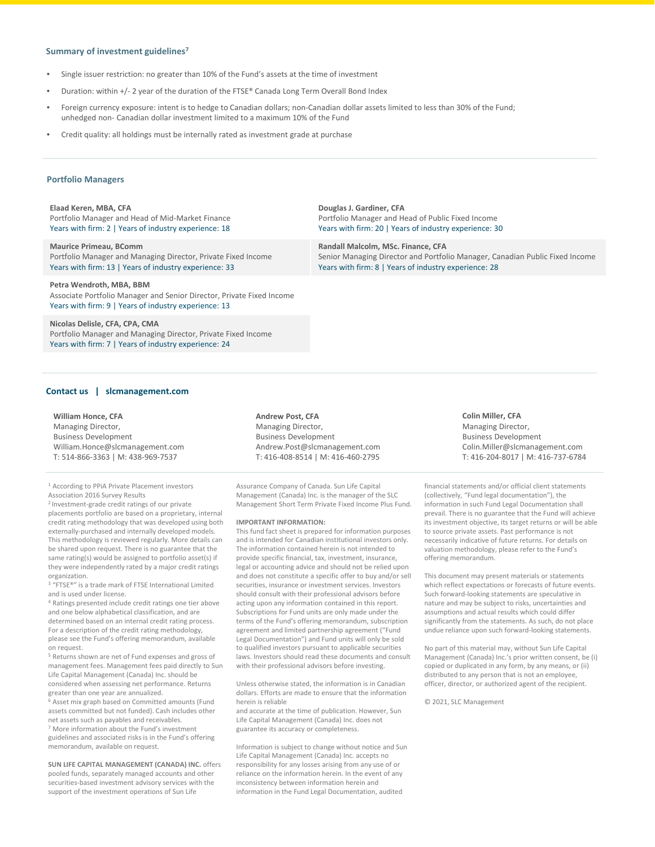## **Summary of investment guidelines7**

- Single issuer restriction: no greater than 10% of the Fund's assets at the time of investment
- Duration: within +/- 2 year of the duration of the FTSE® Canada Long Term Overall Bond Index
- Foreign currency exposure: intent is to hedge to Canadian dollars; non-Canadian dollar assets limited to less than 30% of the Fund; unhedged non- Canadian dollar investment limited to a maximum 10% of the Fund
- Credit quality: all holdings must be internally rated as investment grade at purchase

#### **Portfolio Managers**

**Elaad Keren, MBA, CFA** Portfolio Manager and Head of Mid-Market Finance Years with firm: 2 | Years of industry experience: 18

**Maurice Primeau, BComm** Portfolio Manager and Managing Director, Private Fixed Income Years with firm: 13 | Years of industry experience: 33

**Petra Wendroth, MBA, BBM**

Associate Portfolio Manager and Senior Director, Private Fixed Income Years with firm: 9 | Years of industry experience: 13

**Nicolas Delisle, CFA, CPA, CMA** Portfolio Manager and Managing Director, Private Fixed Income Years with firm: 7 | Years of industry experience: 24

#### **Contact us | slcmanagement.com**

**William Honce, CFA** Managing Director, Business Development William.Honce@slcmanagement.com T: 514-866-3363 | M: 438-969-7537

<sup>1</sup> According to PPiA Private Placement investors Association 2016 Survey Results

2 Investment-grade credit ratings of our private

placements portfolio are based on a proprietary, internal credit rating methodology that was developed using both externally-purchased and internally developed models. This methodology is reviewed regularly. More details can be shared upon request. There is no guarantee that the same rating(s) would be assigned to portfolio asset(s) if they were independently rated by a major credit ratings organization.

<sup>3</sup> "FTSE®" is a trade mark of FTSE International Limited and is used under license.

<sup>4</sup> Ratings presented include credit ratings one tier above and one below alphabetical classification, and are determined based on an internal credit rating process. For a description of the credit rating methodology, please see the Fund's offering memorandum, available on request.

<sup>5</sup> Returns shown are net of Fund expenses and gross of management fees. Management fees paid directly to Sun Life Capital Management (Canada) Inc. should be considered when assessing net performance. Returns greater than one year are annualized.

<sup>6</sup> Asset mix graph based on Committed amounts (Fund assets committed but not funded). Cash includes other net assets such as payables and receivables.

<sup>7</sup> More information about the Fund's investment guidelines and associated risks is in the Fund's offering memorandum, available on request.

**SUN LIFE CAPITAL MANAGEMENT (CANADA) INC.** offers pooled funds, separately managed accounts and other securities-based investment advisory services with the support of the investment operations of Sun Life

**Andrew Post, CFA** Managing Director, Business Development Andrew.Post@slcmanagement.com T: 416-408-8514 | M: 416-460-2795

Assurance Company of Canada. Sun Life Capital Management (Canada) Inc. is the manager of the SLC Management Short Term Private Fixed Income Plus Fund.

#### **IMPORTANT INFORMATION:**

This fund fact sheet is prepared for information purposes and is intended for Canadian institutional investors only. The information contained herein is not intended to provide specific financial, tax, investment, insurance, legal or accounting advice and should not be relied upon and does not constitute a specific offer to buy and/or sell securities, insurance or investment services. Investors should consult with their professional advisors before acting upon any information contained in this report. Subscriptions for Fund units are only made under the terms of the Fund's offering memorandum, subscription agreement and limited partnership agreement ("Fund Legal Documentation") and Fund units will only be sold to qualified investors pursuant to applicable securities laws. Investors should read these documents and consult with their professional advisors before investing.

Unless otherwise stated, the information is in Canadian dollars. Efforts are made to ensure that the information herein is reliable

and accurate at the time of publication. However, Sun Life Capital Management (Canada) Inc. does not guarantee its accuracy or completeness.

Information is subject to change without notice and Sun Life Capital Management (Canada) Inc. accepts no responsibility for any losses arising from any use of or reliance on the information herein. In the event of any inconsistency between information herein and information in the Fund Legal Documentation, audited

**Douglas J. Gardiner, CFA** Portfolio Manager and Head of Public Fixed Income Years with firm: 20 | Years of industry experience: 30

**Randall Malcolm, MSc. Finance, CFA** Senior Managing Director and Portfolio Manager, Canadian Public Fixed Income Years with firm: 8 | Years of industry experience: 28

> financial statements and/or official client statements (collectively, "Fund legal documentation"), the information in such Fund Legal Documentation shall prevail. There is no guarantee that the Fund will achieve its investment objective, its target returns or will be able to source private assets. Past performance is not necessarily indicative of future returns. For details on valuation methodology, please refer to the Fund's

Colin.Miller@slcmanagement.com T: 416-204-8017 | M: 416-737-6784

**Colin Miller, CFA** Managing Director, Business Development

This document may present materials or statements which reflect expectations or forecasts of future events. Such forward-looking statements are speculative in nature and may be subject to risks, uncertainties and assumptions and actual results which could differ significantly from the statements. As such, do not place undue reliance upon such forward-looking statements.

No part of this material may, without Sun Life Capital Management (Canada) Inc.'s prior written consent, be (i) copied or duplicated in any form, by any means, or (ii) distributed to any person that is not an employee, officer, director, or authorized agent of the recipient.

© 2021, SLC Management

offering memorandum.